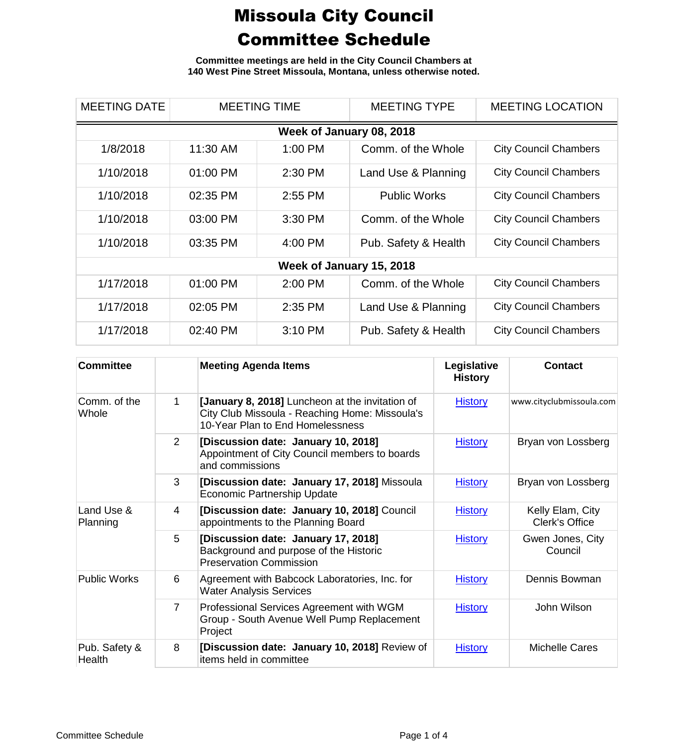**Committee meetings are held in the City Council Chambers at 140 West Pine Street Missoula, Montana, unless otherwise noted.**

| <b>MEETING DATE</b>      | <b>MEETING TIME</b> |           | <b>MEETING TYPE</b>  | <b>MEETING LOCATION</b>      |  |  |
|--------------------------|---------------------|-----------|----------------------|------------------------------|--|--|
| Week of January 08, 2018 |                     |           |                      |                              |  |  |
| 1/8/2018                 | 11:30 AM            | $1:00$ PM | Comm. of the Whole   | <b>City Council Chambers</b> |  |  |
| 1/10/2018                | 01:00 PM            | 2:30 PM   | Land Use & Planning  | <b>City Council Chambers</b> |  |  |
| 1/10/2018                | 02:35 PM            | 2:55 PM   | <b>Public Works</b>  | <b>City Council Chambers</b> |  |  |
| 1/10/2018                | 03:00 PM            | 3:30 PM   | Comm. of the Whole   | <b>City Council Chambers</b> |  |  |
| 1/10/2018                | 03:35 PM            | 4:00 PM   | Pub. Safety & Health | <b>City Council Chambers</b> |  |  |
| Week of January 15, 2018 |                     |           |                      |                              |  |  |
| 1/17/2018                | 01:00 PM            | 2:00 PM   | Comm. of the Whole   | <b>City Council Chambers</b> |  |  |
| 1/17/2018                | 02:05 PM            | 2:35 PM   | Land Use & Planning  | <b>City Council Chambers</b> |  |  |
| 1/17/2018                | 02:40 PM            | 3:10 PM   | Pub. Safety & Health | <b>City Council Chambers</b> |  |  |

| <b>Committee</b>        |                | <b>Meeting Agenda Items</b>                                                                                                           | Legislative<br><b>History</b> | <b>Contact</b>                     |
|-------------------------|----------------|---------------------------------------------------------------------------------------------------------------------------------------|-------------------------------|------------------------------------|
| Comm. of the<br>Whole   | 1              | [January 8, 2018] Luncheon at the invitation of<br>City Club Missoula - Reaching Home: Missoula's<br>10-Year Plan to End Homelessness | <b>History</b>                | www.cityclubmissoula.com           |
|                         | $\overline{2}$ | [Discussion date: January 10, 2018]<br>Appointment of City Council members to boards<br>and commissions                               | <b>History</b>                | Bryan von Lossberg                 |
|                         | 3              | [Discussion date: January 17, 2018] Missoula<br><b>Economic Partnership Update</b>                                                    | <b>History</b>                | Bryan von Lossberg                 |
| Land Use &<br>Planning  | 4              | [Discussion date: January 10, 2018] Council<br>appointments to the Planning Board                                                     | <b>History</b>                | Kelly Elam, City<br>Clerk's Office |
|                         | 5              | [Discussion date: January 17, 2018]<br>Background and purpose of the Historic<br><b>Preservation Commission</b>                       | <b>History</b>                | Gwen Jones, City<br>Council        |
| <b>Public Works</b>     | 6              | Agreement with Babcock Laboratories, Inc. for<br><b>Water Analysis Services</b>                                                       | <b>History</b>                | Dennis Bowman                      |
|                         | $\overline{7}$ | Professional Services Agreement with WGM<br>Group - South Avenue Well Pump Replacement<br>Project                                     | <b>History</b>                | John Wilson                        |
| Pub. Safety &<br>Health | 8              | [Discussion date: January 10, 2018] Review of<br>items held in committee                                                              | <b>History</b>                | <b>Michelle Cares</b>              |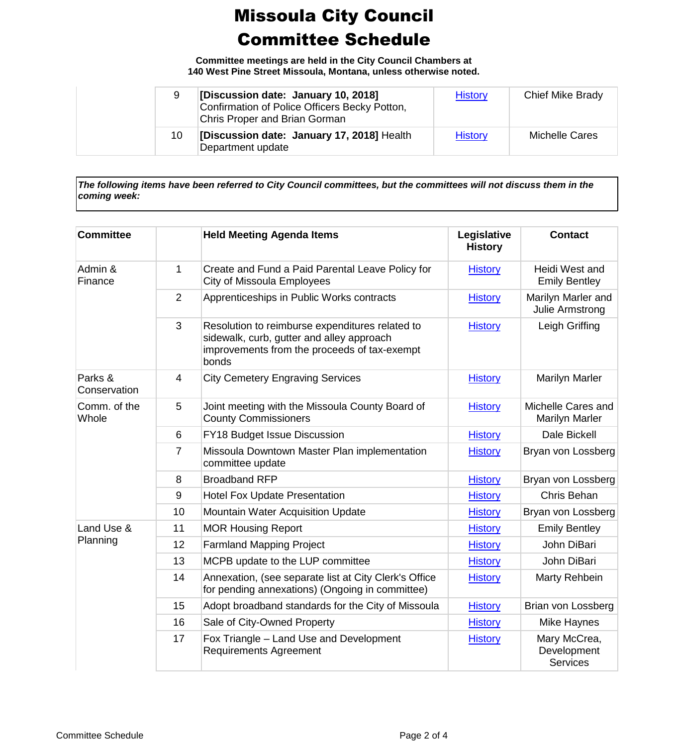**Committee meetings are held in the City Council Chambers at 140 West Pine Street Missoula, Montana, unless otherwise noted.**

| 9  | [Discussion date: January 10, 2018]<br>Confirmation of Police Officers Becky Potton,<br><b>Chris Proper and Brian Gorman</b> | <b>History</b> | Chief Mike Brady      |
|----|------------------------------------------------------------------------------------------------------------------------------|----------------|-----------------------|
| 10 | [Discussion date: January 17, 2018] Health<br>Department update                                                              | <b>History</b> | <b>Michelle Cares</b> |

*The following items have been referred to City Council committees, but the committees will not discuss them in the coming week:*

| <b>Committee</b>        |                | <b>Held Meeting Agenda Items</b>                                                                                                                      | Legislative<br><b>History</b> | <b>Contact</b>                              |
|-------------------------|----------------|-------------------------------------------------------------------------------------------------------------------------------------------------------|-------------------------------|---------------------------------------------|
| Admin &<br>Finance      | $\mathbf{1}$   | Create and Fund a Paid Parental Leave Policy for<br><b>City of Missoula Employees</b>                                                                 | <b>History</b>                | Heidi West and<br><b>Emily Bentley</b>      |
|                         | 2              | Apprenticeships in Public Works contracts                                                                                                             | <b>History</b>                | Marilyn Marler and<br>Julie Armstrong       |
|                         | 3              | Resolution to reimburse expenditures related to<br>sidewalk, curb, gutter and alley approach<br>improvements from the proceeds of tax-exempt<br>bonds | <b>History</b>                | Leigh Griffing                              |
| Parks &<br>Conservation | $\overline{4}$ | <b>City Cemetery Engraving Services</b>                                                                                                               | <b>History</b>                | Marilyn Marler                              |
| Comm. of the<br>Whole   | 5              | Joint meeting with the Missoula County Board of<br><b>County Commissioners</b>                                                                        | <b>History</b>                | Michelle Cares and<br><b>Marilyn Marler</b> |
|                         | 6              | FY18 Budget Issue Discussion                                                                                                                          | <b>History</b>                | Dale Bickell                                |
|                         | $\overline{7}$ | Missoula Downtown Master Plan implementation<br>committee update                                                                                      | <b>History</b>                | Bryan von Lossberg                          |
|                         | 8              | <b>Broadband RFP</b>                                                                                                                                  | <b>History</b>                | Bryan von Lossberg                          |
|                         | 9              | <b>Hotel Fox Update Presentation</b>                                                                                                                  | <b>History</b>                | Chris Behan                                 |
|                         | 10             | <b>Mountain Water Acquisition Update</b>                                                                                                              | <b>History</b>                | Bryan von Lossberg                          |
| Land Use &<br>Planning  | 11             | <b>MOR Housing Report</b>                                                                                                                             | <b>History</b>                | <b>Emily Bentley</b>                        |
|                         | 12             | <b>Farmland Mapping Project</b>                                                                                                                       | <b>History</b>                | John DiBari                                 |
|                         | 13             | MCPB update to the LUP committee                                                                                                                      | <b>History</b>                | John DiBari                                 |
|                         | 14             | Annexation, (see separate list at City Clerk's Office<br>for pending annexations) (Ongoing in committee)                                              | <b>History</b>                | Marty Rehbein                               |
|                         | 15             | Adopt broadband standards for the City of Missoula                                                                                                    | <b>History</b>                | Brian von Lossberg                          |
|                         | 16             | Sale of City-Owned Property                                                                                                                           | <b>History</b>                | Mike Haynes                                 |
|                         | 17             | Fox Triangle - Land Use and Development<br><b>Requirements Agreement</b>                                                                              | <b>History</b>                | Mary McCrea,<br>Development<br>Services     |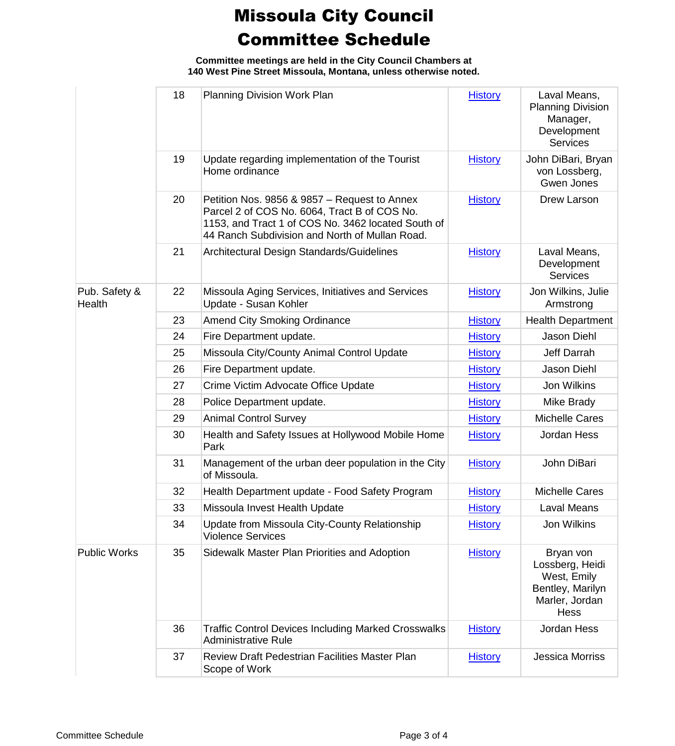**Committee meetings are held in the City Council Chambers at 140 West Pine Street Missoula, Montana, unless otherwise noted.**

|                         | 18 | <b>Planning Division Work Plan</b>                                                                                                                                                                   | <b>History</b> | Laval Means,<br><b>Planning Division</b><br>Manager,<br>Development<br><b>Services</b>           |
|-------------------------|----|------------------------------------------------------------------------------------------------------------------------------------------------------------------------------------------------------|----------------|--------------------------------------------------------------------------------------------------|
|                         | 19 | Update regarding implementation of the Tourist<br>Home ordinance                                                                                                                                     | <b>History</b> | John DiBari, Bryan<br>von Lossberg,<br>Gwen Jones                                                |
|                         | 20 | Petition Nos. 9856 & 9857 - Request to Annex<br>Parcel 2 of COS No. 6064, Tract B of COS No.<br>1153, and Tract 1 of COS No. 3462 located South of<br>44 Ranch Subdivision and North of Mullan Road. | <b>History</b> | Drew Larson                                                                                      |
|                         | 21 | Architectural Design Standards/Guidelines                                                                                                                                                            | <b>History</b> | Laval Means,<br>Development<br><b>Services</b>                                                   |
| Pub. Safety &<br>Health | 22 | Missoula Aging Services, Initiatives and Services<br>Update - Susan Kohler                                                                                                                           | <b>History</b> | Jon Wilkins, Julie<br>Armstrong                                                                  |
|                         | 23 | <b>Amend City Smoking Ordinance</b>                                                                                                                                                                  | <b>History</b> | <b>Health Department</b>                                                                         |
|                         | 24 | Fire Department update.                                                                                                                                                                              | <b>History</b> | Jason Diehl                                                                                      |
|                         | 25 | Missoula City/County Animal Control Update                                                                                                                                                           | <b>History</b> | Jeff Darrah                                                                                      |
|                         | 26 | Fire Department update.                                                                                                                                                                              | <b>History</b> | <b>Jason Diehl</b>                                                                               |
|                         | 27 | Crime Victim Advocate Office Update                                                                                                                                                                  | <b>History</b> | Jon Wilkins                                                                                      |
|                         | 28 | Police Department update.                                                                                                                                                                            | <b>History</b> | Mike Brady                                                                                       |
|                         | 29 | <b>Animal Control Survey</b>                                                                                                                                                                         | <b>History</b> | <b>Michelle Cares</b>                                                                            |
|                         | 30 | Health and Safety Issues at Hollywood Mobile Home<br>Park                                                                                                                                            | <b>History</b> | Jordan Hess                                                                                      |
|                         | 31 | Management of the urban deer population in the City<br>of Missoula.                                                                                                                                  | <b>History</b> | John DiBari                                                                                      |
|                         | 32 | Health Department update - Food Safety Program                                                                                                                                                       | <b>History</b> | <b>Michelle Cares</b>                                                                            |
|                         | 33 | Missoula Invest Health Update                                                                                                                                                                        | <b>History</b> | Laval Means                                                                                      |
|                         | 34 | Update from Missoula City-County Relationship<br><b>Violence Services</b>                                                                                                                            | <b>History</b> | Jon Wilkins                                                                                      |
| <b>Public Works</b>     | 35 | Sidewalk Master Plan Priorities and Adoption                                                                                                                                                         | <b>History</b> | Bryan von<br>Lossberg, Heidi<br>West, Emily<br>Bentley, Marilyn<br>Marler, Jordan<br><b>Hess</b> |
|                         | 36 | <b>Traffic Control Devices Including Marked Crosswalks</b><br><b>Administrative Rule</b>                                                                                                             | <b>History</b> | Jordan Hess                                                                                      |
|                         | 37 | <b>Review Draft Pedestrian Facilities Master Plan</b><br>Scope of Work                                                                                                                               | <b>History</b> | <b>Jessica Morriss</b>                                                                           |